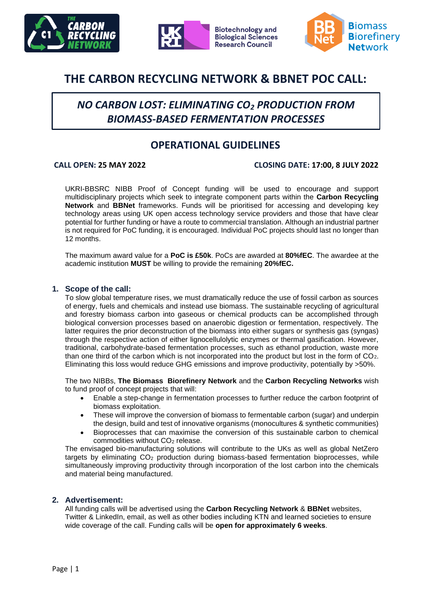





# **THE CARBON RECYCLING NETWORK & BBNET POC CALL:**

# *NO CARBON LOST: ELIMINATING CO<sup>2</sup> PRODUCTION FROM BIOMASS-BASED FERMENTATION PROCESSES*

## **OPERATIONAL GUIDELINES**

#### **CALL OPEN: 25 MAY 2022 CLOSING DATE: 17:00, 8 JULY 2022**

UKRI-BBSRC NIBB Proof of Concept funding will be used to encourage and support multidisciplinary projects which seek to integrate component parts within the **Carbon Recycling Network** and **BBNet** frameworks. Funds will be prioritised for accessing and developing key technology areas using UK open access technology service providers and those that have clear potential for further funding or have a route to commercial translation. Although an industrial partner is not required for PoC funding, it is encouraged. Individual PoC projects should last no longer than 12 months.

The maximum award value for a **PoC is £50k**. PoCs are awarded at **80%fEC**. The awardee at the academic institution **MUST** be willing to provide the remaining **20%fEC.**

#### **1. Scope of the call:**

To slow global temperature rises, we must dramatically reduce the use of fossil carbon as sources of energy, fuels and chemicals and instead use biomass. The sustainable recycling of agricultural and forestry biomass carbon into gaseous or chemical products can be accomplished through biological conversion processes based on anaerobic digestion or fermentation, respectively. The latter requires the prior deconstruction of the biomass into either sugars or synthesis gas (syngas) through the respective action of either lignocellulolytic enzymes or thermal gasification. However, traditional, carbohydrate-based fermentation processes, such as ethanol production, waste more than one third of the carbon which is not incorporated into the product but lost in the form of  $CO<sub>2</sub>$ . Eliminating this loss would reduce GHG emissions and improve productivity, potentially by >50%.

The two NIBBs, **The Biomass Biorefinery Network** and the **Carbon Recycling Networks** wish to fund proof of concept projects that will:

- Enable a step-change in fermentation processes to further reduce the carbon footprint of biomass exploitation.
- These will improve the conversion of biomass to fermentable carbon (sugar) and underpin the design, build and test of innovative organisms (monocultures & synthetic communities)
- Bioprocesses that can maximise the conversion of this sustainable carbon to chemical commodities without CO<sub>2</sub> release.

The envisaged bio-manufacturing solutions will contribute to the UKs as well as global NetZero targets by eliminating CO<sub>2</sub> production during biomass-based fermentation bioprocesses, while simultaneously improving productivity through incorporation of the lost carbon into the chemicals and material being manufactured.

#### **2. Advertisement:**

All funding calls will be advertised using the **Carbon Recycling Network** & **BBNet** websites, Twitter & LinkedIn, email, as well as other bodies including KTN and learned societies to ensure wide coverage of the call. Funding calls will be **open for approximately 6 weeks**.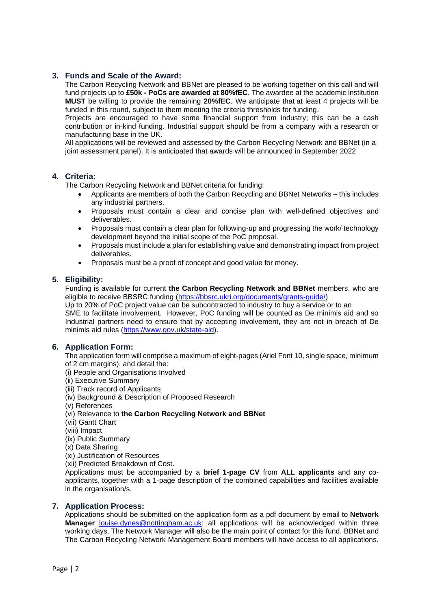#### **3. Funds and Scale of the Award:**

The Carbon Recycling Network and BBNet are pleased to be working together on this call and will fund projects up to **£50k - PoCs are awarded at 80%fEC**. The awardee at the academic institution **MUST** be willing to provide the remaining **20%fEC**. We anticipate that at least 4 projects will be funded in this round, subject to them meeting the criteria thresholds for funding.

Projects are encouraged to have some financial support from industry; this can be a cash contribution or in-kind funding. Industrial support should be from a company with a research or manufacturing base in the UK.

All applications will be reviewed and assessed by the Carbon Recycling Network and BBNet (in a joint assessment panel). It is anticipated that awards will be announced in September 2022

#### **4. Criteria:**

The Carbon Recycling Network and BBNet criteria for funding:

- Applicants are members of both the Carbon Recycling and BBNet Networks this includes any industrial partners.
- Proposals must contain a clear and concise plan with well-defined objectives and deliverables.
- Proposals must contain a clear plan for following-up and progressing the work/ technology development beyond the initial scope of the PoC proposal.
- Proposals must include a plan for establishing value and demonstrating impact from project deliverables.
- Proposals must be a proof of concept and good value for money.

#### **5. Eligibility:**

Funding is available for current **the Carbon Recycling Network and BBNet** members, who are eligible to receive BBSRC funding [\(https://bbsrc.ukri.org/documents/grants-guide/\)](https://bbsrc.ukri.org/documents/grants-guide/)

Up to 20% of PoC project value can be subcontracted to industry to buy a service or to an SME to facilitate involvement. However, PoC funding will be counted as De minimis aid and so Industrial partners need to ensure that by accepting involvement, they are not in breach of De minimis aid rules [\(https://www.gov.uk/state-aid\)](https://www.gov.uk/state-aid).

#### **6. Application Form:**

The application form will comprise a maximum of eight-pages (Ariel Font 10, single space, minimum of 2 cm margins), and detail the:

- (i) People and Organisations Involved
- (ii) Executive Summary
- (iii) Track record of Applicants
- (iv) Background & Description of Proposed Research
- (v) References
- (vi) Relevance to **the Carbon Recycling Network and BBNet**
- (vii) Gantt Chart
- (viii) Impact
- (ix) Public Summary
- (x) Data Sharing
- (xi) Justification of Resources
- (xii) Predicted Breakdown of Cost.

Applications must be accompanied by a **brief 1-page CV** from **ALL applicants** and any coapplicants, together with a 1-page description of the combined capabilities and facilities available in the organisation/s.

#### **7. Application Process:**

Applications should be submitted on the application form as a pdf document by email to **Network Manager** [louise.dynes@nottingham.ac.uk:](mailto:louise.dynes@nottingham.ac.uk) all applications will be acknowledged within three working days. The Network Manager will also be the main point of contact for this fund. BBNet and The Carbon Recycling Network Management Board members will have access to all applications.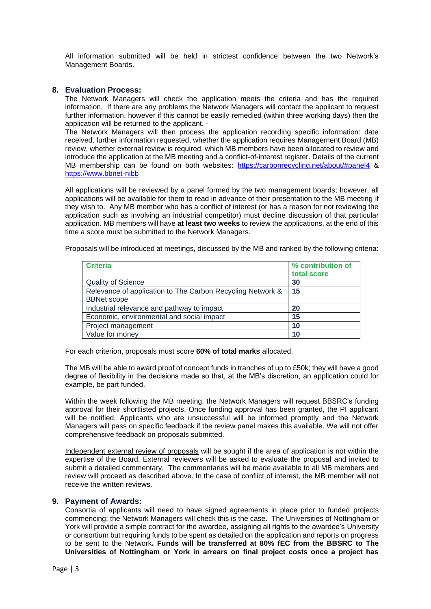All information submitted will be held in strictest confidence between the two Network's Management Boards.

#### **8. Evaluation Process:**

The Network Managers will check the application meets the criteria and has the required information. If there are any problems the Network Managers will contact the applicant to request further information, however if this cannot be easily remedied (within three working days) then the application will be returned to the applicant. -

The Network Managers will then process the application recording specific information: date received, further information requested, whether the application requires Management Board (MB) review, whether external review is required, which MB members have been allocated to review and introduce the application at the MB meeting and a conflict-of-interest register. Details of the current MB membership can be found on both websites: <https://carbonrecycling.net/about/#panel4> & [https://www.bbnet-nibb](https://www.bbnet-nibb/)

All applications will be reviewed by a panel formed by the two management boards; however, all applications will be available for them to read in advance of their presentation to the MB meeting if they wish to. Any MB member who has a conflict of interest (or has a reason for not reviewing the application such as involving an industrial competitor) must decline discussion of that particular application. MB members will have **at least two weeks** to review the applications, at the end of this time a score must be submitted to the Network Managers.

Proposals will be introduced at meetings, discussed by the MB and ranked by the following criteria:

| <b>Criteria</b>                                            | % contribution of<br>total score |
|------------------------------------------------------------|----------------------------------|
| <b>Quality of Science</b>                                  | 30                               |
| Relevance of application to The Carbon Recycling Network & | 15                               |
| <b>BBNet scope</b>                                         |                                  |
| Industrial relevance and pathway to impact                 | 20                               |
| Economic, environmental and social impact                  | 15                               |
| Project management                                         | 10                               |
| Value for money                                            | 10                               |

For each criterion, proposals must score **60% of total marks** allocated.

The MB will be able to award proof of concept funds in tranches of up to £50k; they will have a good degree of flexibility in the decisions made so that, at the MB's discretion, an application could for example, be part funded.

Within the week following the MB meeting, the Network Managers will request BBSRC's funding approval for their shortlisted projects. Once funding approval has been granted, the PI applicant will be notified. Applicants who are unsuccessful will be informed promptly and the Network Managers will pass on specific feedback if the review panel makes this available. We will not offer comprehensive feedback on proposals submitted.

Independent external review of proposals will be sought if the area of application is not within the expertise of the Board. External reviewers will be asked to evaluate the proposal and invited to submit a detailed commentary. The commentaries will be made available to all MB members and review will proceed as described above. In the case of conflict of interest, the MB member will not receive the written reviews.

#### **9. Payment of Awards:**

Consortia of applicants will need to have signed agreements in place prior to funded projects commencing; the Network Managers will check this is the case. The Universities of Nottingham or York will provide a simple contract for the awardee, assigning all rights to the awardee's University or consortium but requiring funds to be spent as detailed on the application and reports on progress to be sent to the Network**. Funds will be transferred at 80% fEC from the BBSRC to The Universities of Nottingham or York in arrears on final project costs once a project has**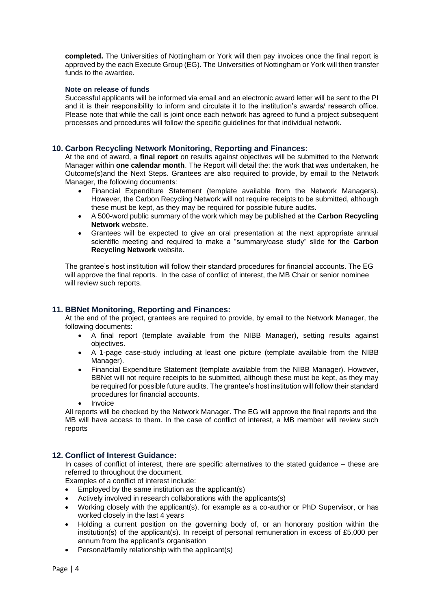**completed.** The Universities of Nottingham or York will then pay invoices once the final report is approved by the each Execute Group (EG). The Universities of Nottingham or York will then transfer funds to the awardee.

#### **Note on release of funds**

Successful applicants will be informed via email and an electronic award letter will be sent to the PI and it is their responsibility to inform and circulate it to the institution's awards/ research office. Please note that while the call is joint once each network has agreed to fund a project subsequent processes and procedures will follow the specific guidelines for that individual network.

#### **10. Carbon Recycling Network Monitoring, Reporting and Finances:**

At the end of award, a **final report** on results against objectives will be submitted to the Network Manager within **one calendar month**. The Report will detail the: the work that was undertaken, he Outcome(s)and the Next Steps. Grantees are also required to provide, by email to the Network Manager, the following documents:

- Financial Expenditure Statement (template available from the Network Managers). However, the Carbon Recycling Network will not require receipts to be submitted, although these must be kept, as they may be required for possible future audits.
- A 500-word public summary of the work which may be published at the **Carbon Recycling Network** website.
- Grantees will be expected to give an oral presentation at the next appropriate annual scientific meeting and required to make a "summary/case study" slide for the **Carbon Recycling Network** website.

The grantee's host institution will follow their standard procedures for financial accounts. The EG will approve the final reports. In the case of conflict of interest, the MB Chair or senior nominee will review such reports.

### **11. BBNet Monitoring, Reporting and Finances:**

At the end of the project, grantees are required to provide, by email to the Network Manager, the following documents:

- A final report (template available from the NIBB Manager), setting results against objectives.
- A 1-page case-study including at least one picture (template available from the NIBB Manager).
- Financial Expenditure Statement (template available from the NIBB Manager). However, BBNet will not require receipts to be submitted, although these must be kept, as they may be required for possible future audits. The grantee's host institution will follow their standard procedures for financial accounts.
- **Invoice**

All reports will be checked by the Network Manager. The EG will approve the final reports and the MB will have access to them. In the case of conflict of interest, a MB member will review such reports

#### **12. Conflict of Interest Guidance:**

In cases of conflict of interest, there are specific alternatives to the stated guidance – these are referred to throughout the document.

Examples of a conflict of interest include:

- Employed by the same institution as the applicant(s)
- Actively involved in research collaborations with the applicants(s)
- Working closely with the applicant(s), for example as a co-author or PhD Supervisor, or has worked closely in the last 4 years
- Holding a current position on the governing body of, or an honorary position within the institution(s) of the applicant(s). In receipt of personal remuneration in excess of £5,000 per annum from the applicant's organisation
- Personal/family relationship with the applicant(s)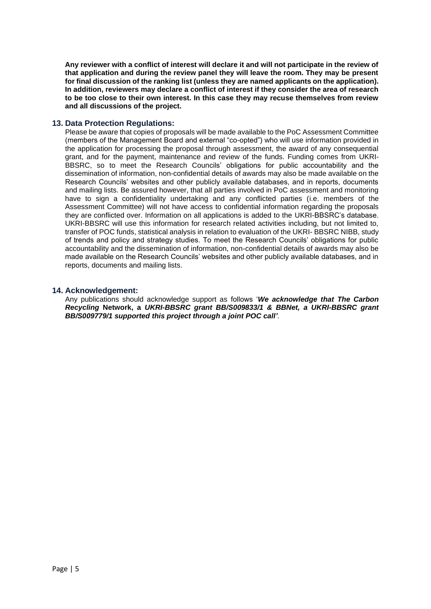**Any reviewer with a conflict of interest will declare it and will not participate in the review of that application and during the review panel they will leave the room. They may be present for final discussion of the ranking list (unless they are named applicants on the application). In addition, reviewers may declare a conflict of interest if they consider the area of research to be too close to their own interest. In this case they may recuse themselves from review and all discussions of the project.**

#### **13. Data Protection Regulations:**

Please be aware that copies of proposals will be made available to the PoC Assessment Committee (members of the Management Board and external "co-opted") who will use information provided in the application for processing the proposal through assessment, the award of any consequential grant, and for the payment, maintenance and review of the funds. Funding comes from UKRI-BBSRC, so to meet the Research Councils' obligations for public accountability and the dissemination of information, non-confidential details of awards may also be made available on the Research Councils' websites and other publicly available databases, and in reports, documents and mailing lists. Be assured however, that all parties involved in PoC assessment and monitoring have to sign a confidentiality undertaking and any conflicted parties (i.e. members of the Assessment Committee) will not have access to confidential information regarding the proposals they are conflicted over. Information on all applications is added to the UKRI-BBSRC's database. UKRI-BBSRC will use this information for research related activities including, but not limited to, transfer of POC funds, statistical analysis in relation to evaluation of the UKRI- BBSRC NIBB, study of trends and policy and strategy studies. To meet the Research Councils' obligations for public accountability and the dissemination of information, non-confidential details of awards may also be made available on the Research Councils' websites and other publicly available databases, and in reports, documents and mailing lists.

#### **14. Acknowledgement:**

Any publications should acknowledge support as follows '*We acknowledge that The Carbon Recycling* **Network, a** *UKRI-BBSRC grant BB/S009833/1 & BBNet, a UKRI-BBSRC grant BB/S009779/1 supported this project through a joint POC call'*.